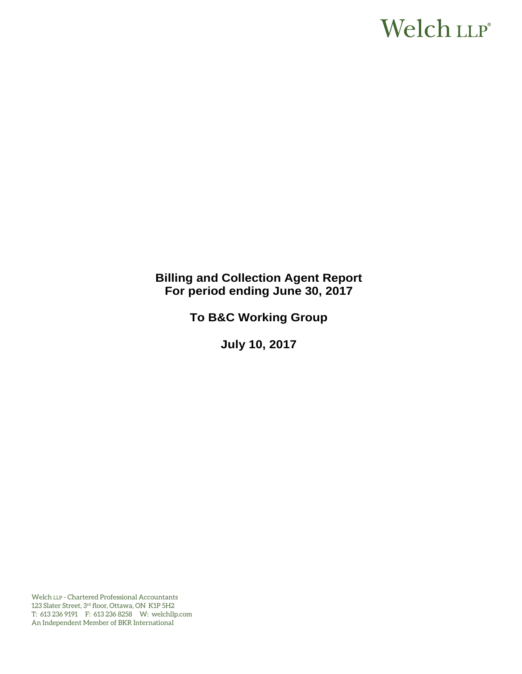# Welch LLP®

# **Billing and Collection Agent Report For period ending June 30, 2017**

**To B&C Working Group** 

**July 10, 2017** 

Welch LLP - Chartered Professional Accountants 123 Slater Street, 3rd floor, Ottawa, ON K1P 5H2 T: 613 236 9191 F: 613 236 8258 W: welchllp.com An Independent Member of BKR International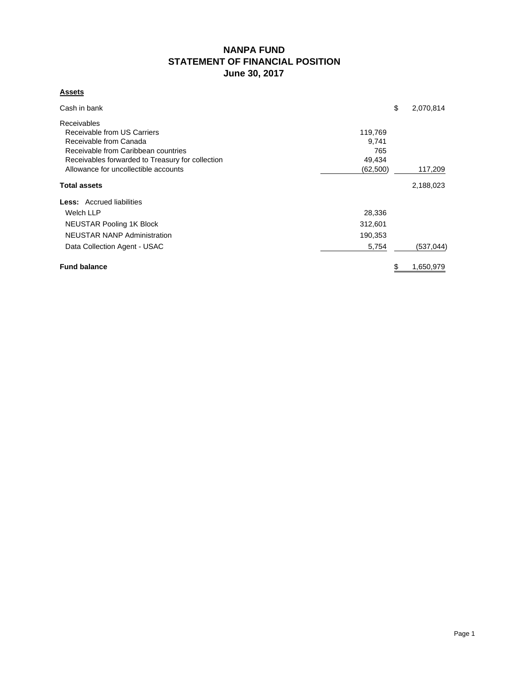# **NANPA FUND STATEMENT OF FINANCIAL POSITION June 30, 2017**

# **Assets**

| Cash in bank                                     | \$        | 2,070,814  |
|--------------------------------------------------|-----------|------------|
| <b>Receivables</b>                               |           |            |
| Receivable from US Carriers                      | 119,769   |            |
| Receivable from Canada                           | 9,741     |            |
| Receivable from Caribbean countries              | 765       |            |
| Receivables forwarded to Treasury for collection | 49,434    |            |
| Allowance for uncollectible accounts             | (62, 500) | 117,209    |
| <b>Total assets</b>                              |           | 2,188,023  |
| <b>Less:</b> Accrued liabilities                 |           |            |
| Welch LLP                                        | 28,336    |            |
| <b>NEUSTAR Pooling 1K Block</b>                  | 312,601   |            |
| <b>NEUSTAR NANP Administration</b>               | 190,353   |            |
| Data Collection Agent - USAC                     | 5,754     | (537, 044) |
| <b>Fund balance</b>                              | \$        | 1,650,979  |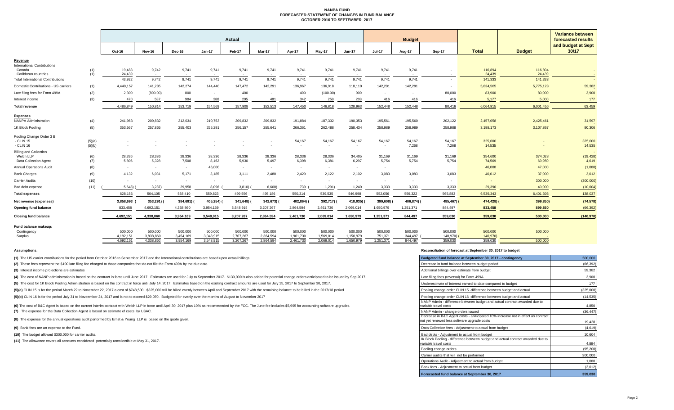#### **NANPA FUND FORECASTED STATEMENT OF CHANGES IN FUND BALANCEOCTOBER 2016 TO SEPTEMBER 2017**

|                                                |            | Actual           |                 |                 |                     |                 |                 |                 |                 | <b>Budget</b> |                 |                 |          |                   | <b>Variance between</b><br>forecasted results |                             |
|------------------------------------------------|------------|------------------|-----------------|-----------------|---------------------|-----------------|-----------------|-----------------|-----------------|---------------|-----------------|-----------------|----------|-------------------|-----------------------------------------------|-----------------------------|
|                                                |            | Oct-16           | <b>Nov-16</b>   | Dec-16          | Jan-17              | Feb-17          | Mar-17          | Apr-17          | May-17          | Jun-17        | <b>Jul-17</b>   | Aug-17          | Sep-17   | <b>Total</b>      | <b>Budget</b>                                 | and budget at Sept<br>30/17 |
| <u>Revenue</u>                                 |            |                  |                 |                 |                     |                 |                 |                 |                 |               |                 |                 |          |                   |                                               |                             |
| <b>International Contributions</b>             |            |                  |                 |                 |                     |                 |                 |                 |                 |               |                 |                 |          |                   |                                               |                             |
| Canada<br>Caribbean countries                  | (1)<br>(1) | 19,483<br>24,439 | 9,742<br>$\sim$ | 9,741<br>$\sim$ | 9,741<br><b>COL</b> | 9,741<br>$\sim$ | 9,741<br>$\sim$ | 9,741<br>$\sim$ | 9,741<br>$\sim$ | 9,741<br>. .  | 9,741<br>$\sim$ | 9,741<br>$\sim$ |          | 116,894<br>24,439 | 116,894<br>24,439                             | $\sim$                      |
| <b>Total International Contributions</b>       |            | 43,922           | 9,742           | 9,741           | 9.741               | 9.741           | 9,741           | 9,741           | 9,741           | 9,741         | 9.741           | 9.741           |          | 141,333           | 141,333                                       | $\sim$                      |
| Domestic Contributions - US carriers           | (1)        | 4,440,157        | 141,285         | 142,274         | 144,440             | 147,472         | 142,291         | 136,967         | 136,918         | 118,119       | 142,291         | 142,291         |          | 5,834,505         | 5,775,123                                     | 59,382                      |
| Late filing fees for Form 499A                 | (2)        | 2,300            | (800.00)        | 800             |                     | 400             |                 | 400             | (100.00)        | 900           | $\sim$          | $\sim$          | 80,000   | 83,900            | 80,000                                        | 3,900                       |
| Interest income                                | (3)        | 470              | 587             | 904             | 388                 | 295             | 481             | 342             | 259             | 203           | 416             | 416             | 416      | 5,177             | 5,000                                         | 177                         |
| Total revenue                                  |            | 4,486,849        | 150,814         | 153,719         | 154,569             | 157,908         | 152,513         | 147,450         | 146,818         | 128,963       | 152,448         | 152,448         | 80,416   | 6,064,915         | 6,001,456                                     | 63,459                      |
|                                                |            |                  |                 |                 |                     |                 |                 |                 |                 |               |                 |                 |          |                   |                                               |                             |
| <b>Expenses</b><br><b>NANPA Administration</b> | (4)        | 241,963          | 209,832         | 212,034         | 210,753             | 209,832         | 209,832         | 191,884         | 187,332         | 190,353       | 195,561         | 195,560         | 202,122  | 2,457,058         | 2,425,461                                     | 31,597                      |
| 1K Block Pooling                               | (5)        | 353,567          | 257,865         | 255,403         | 255,291             | 256,157         | 255,641         | 266,361         | 262,488         | 258,434       | 258,989         | 258,989         | 258,988  | 3,198,173         | 3,107,867                                     | 90,306                      |
| Pooling Change Order 3 B                       |            |                  |                 |                 |                     |                 |                 |                 |                 |               |                 |                 |          |                   |                                               |                             |
| - CLIN 15                                      | (5)(a)     | $\sim$           |                 |                 |                     |                 |                 | 54,167          | 54,167          | 54,167        | 54,167          | 54,167          | 54,167   | 325,000           |                                               | 325,000                     |
| - CLIN 16                                      | (5)(b)     |                  |                 |                 |                     |                 |                 | ٠               |                 |               | $\sim$          | 7,268           | 7,268    | 14,535            |                                               | 14,535                      |
| <b>Billing and Collection</b><br>Welch LLP     |            | 28,336           | 28,336          | 28,336          | 28,336              | 28,336          | 28,336          | 28,336          | 28,336          | 34,405        | 31,169          | 31,169          | 31,169   | 354,600           | 374,028                                       | (19, 428)                   |
| Data Collection Agent                          | (6)<br>(7) | 5,806            | 5,328           | 7,508           | 8,162               | 5,930           | 5,497           | 6,398           | 6,381           | 6,297         | 5,754           | 5,754           | 5,754    | 74,569            | 69,950                                        | 4,619                       |
| <b>Annual Operations Audit</b>                 | (8)        | $\sim$           | $\sim$          | $\sim$          | 46,000              | $\sim$          | $\sim$          | $\sim$          | $\sim$          | $\sim$        | $\sim$          |                 |          | 46,000            | 47,000                                        | (1,000)                     |
| <b>Bank Charges</b>                            | (9)        | 4,132            | 6,031           | 5,171           | 3,185               | 3,111           | 2,480           | 2,429           | 2,122           | 2,102         | 3,083           | 3,083           | 3,083    | 40,012            | 37,000                                        | 3,012                       |
| Carrier Audits                                 | (10)       | $\sim$           | $\sim$          | $\sim$          | $\sim$              | $\sim$          |                 | ٠               | $\sim$          | $\sim$        | $\sim$          | $\sim$          |          | $\sim$            | 300,000                                       | (300,000)                   |
| Bad debt expense                               | (11)       | 5,648)           | 3,287           | 29,958          | 8,096               | 3,810)          | 6,600           | 739             | 1,291)          | 1,240         | 3,333           | 3,333           | 3,333    | 29,396            | 40,000                                        | (10, 604)                   |
| <b>Total expenses</b>                          |            | 628,156          | 504,105         | 538,410         | 559,823             | 499,556         | 495,186         | 550,314         | 539,535         | 546,998       | 552,056         | 559,322         | 565,883  | 6,539,343         | 6,401,306                                     | 138,037                     |
| Net revenue (expenses)                         |            | 3,858,693        | 353,291)        | 384,691)        | 405,254)            | 341,648)        | 342,673) (      | 402,864) (      | 392,717) (      | 418,035)      | 399,608)        | 406,874)        | 485,467) | 474,428)          | 399,850)                                      | (74, 578)                   |
| Opening fund balance                           |            | 833,458          | 4,692,151       | 4,338,860       | 3,954,169           | 3,548,915       | 3,207,267       | 2,864,594       | 2,461,730       | 2,069,014     | 1,650,979       | 1,251,371       | 844,497  | 833,458           | 899,850                                       | (66, 392)                   |
| <b>Closing fund balance</b>                    |            | 4,692,151        | 4,338,860       | 3,954,169       | 3,548,915           | 3,207,267       | 2,864,594       | 2,461,730       | 2,069,014       | 1,650,979     | 1,251,371       | 844,497         | 359,030  | 359,030           | 500,000                                       | (140, 970)                  |
| Fund balance makeup:                           |            |                  |                 |                 |                     |                 |                 |                 |                 |               |                 |                 |          |                   |                                               |                             |
| Contingency                                    |            | 500,000          | 500,000         | 500,000         | 500,000             | 500,000         | 500,000         | 500,000         | 500,000         | 500,000       | 500,000         | 500,000         | 500,000  | 500,000           | 500,000                                       |                             |
| Surplus                                        |            | 4,192,151        | 3.838.860       | 3.454.169       | 3.048.915           | 2,707,267       | 2.364.594       | 1.961.730       | 1.569.014       | 1.150.979     | 751.371         | 344.497         | 140.970) | 140,970)          |                                               |                             |

4,692,151 4,338,860 3,954,169 3,548,915 3,207,267 2,864,594 2,461,730 2,069,014 1,650,979 1,251,371 844,497 359,030 359,030 359,030 500,000

**(1)** The US carrier contributions for the period from October 2016 to September 2017 and the International contributions are based upon actual billings.

(2) These fees represent the \$100 late filing fee charged to those companies that do not file the Form 499A by the due date.

**(3)** Interest income projections are estimates

(4) The cost of NANP administration is based on the contract in force until June 2017. Estimates are used for July to September 2017. \$130,000 is also added for potential change orders anticipated to be issued by Sep 2017.

(5) The cost for 1K Block Pooling Administration is based on the contract in force until July 14, 2017. Estimates based on the existing contract amounts are used for July 15, 2017 to September 30, 2017.

(5)(a) CLIN 15 is for the period March 22 to November 22, 2017 a cost of \$748,500. \$325,000 will be billed evenly between April and September 2017 with the remaining balance to be billed in the 2017/18 period.

(5)(b) CLIN 16 is for the period July 31 to Noveember 24, 2017 and is not to exceed \$29,070. Budgeted for evenly over the months of August to November 2017

**(7)** The expense for the Data Collection Agent is based on estimate of costs by USAC. (6) The cost of B&C Agent is based on the current interim contract with Welch LLP in force until April 30, 2017 plus 10% as recommended by the FCC. The June fee includes \$5,995 for accounting software upgrades.

**(8)** The expense for the annual operations audit performed by Ernst & Young LLP is based on the quote given.

**(9)** Bank fees are an expense to the Fund.

**(10)** The budget allowed \$300,000 for carrier audits.

**(11)** The allowance covers all accounts considered potentially uncollectible at May 31, 2017.

### **Assumptions: Reconciliation of forecast at September 30, 2017 to budget**

| Budgeted fund balance at September 30, 2017 - contingency                                                              | 500,000   |
|------------------------------------------------------------------------------------------------------------------------|-----------|
| Decrease in fund balance between budget period                                                                         | (66, 392) |
| Additional billings over estimate from budget                                                                          | 59,382    |
| Late filing fees (reversal) for Form 499A                                                                              | 3,900     |
| Underestimate of interest earned to date compared to budget                                                            | 177       |
| Pooling change order CLIN 15 -difference between budget and actual                                                     | (325,000) |
| Pooling change order CLIN 16 -difference between budget and actual                                                     | (14, 535) |
| NANP Admin - difference between budget and actual contract awarded due to<br>variable travel costs                     | 4,850     |
| NANP Admin - change orders issued<br>Decrease in B&C Agent costs - aniticipated 10% increase not in effect as contract | (36, 447) |
| not yet renewed less software upgrade costs                                                                            | 19,428    |
| Data Collection fees - Adjustment to actual from budget                                                                | (4,619)   |
| Bad debts - Adjustment to actual from budget                                                                           | 10,604    |
| IK Block Pooling - difference between budget and actual contract awarded due to<br>variable travel costs               | 4.894     |
| Pooling change orders                                                                                                  | (95, 200) |
| Carrier audits that will not be performed                                                                              | 300,000   |
| Operations Audit - Adjustment to actual from budget                                                                    | 1,000     |
| Bank fees - Adjustment to actual from budget                                                                           | (3,012)   |
| Forecasted fund balance at September 30, 2017                                                                          | 359.030   |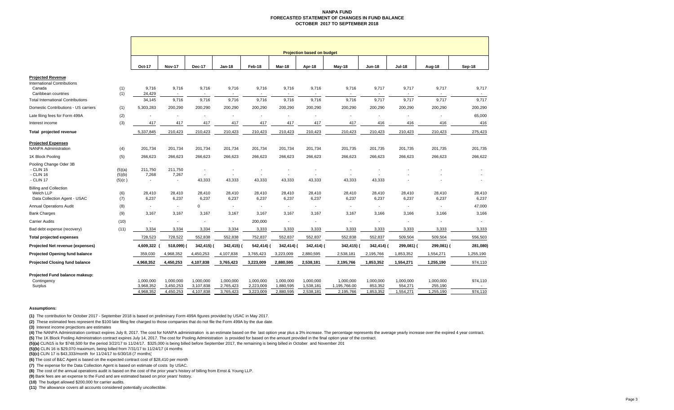### **NANPA FUNDFORECASTED STATEMENT OF CHANGES IN FUND BALANCE OCTOBER 2017 TO SEPTEMBER 2018**

|                                              |                  | <b>Projection based on budget</b> |                                   |                                    |                                    |                          |                                    |                                    |                                    |                                    |                          |                          |           |
|----------------------------------------------|------------------|-----------------------------------|-----------------------------------|------------------------------------|------------------------------------|--------------------------|------------------------------------|------------------------------------|------------------------------------|------------------------------------|--------------------------|--------------------------|-----------|
|                                              |                  | Oct-17                            | <b>Nov-17</b>                     | <b>Dec-17</b>                      | <b>Jan-18</b>                      | Feb-18                   | Mar-18                             | Apr-18                             | May-18                             | <b>Jun-18</b>                      | <b>Jul-18</b>            | Aug-18                   | Sep-18    |
| <b>Projected Revenue</b>                     |                  |                                   |                                   |                                    |                                    |                          |                                    |                                    |                                    |                                    |                          |                          |           |
| <b>International Contributions</b><br>Canada | (1)              | 9.716                             | 9,716                             | 9,716                              | 9,716                              | 9,716                    | 9,716                              | 9,716                              | 9,716                              | 9,717                              | 9,717                    | 9,717                    | 9,717     |
| Caribbean countries                          | (1)              | 24,429                            | $\overline{\phantom{a}}$          | $\overline{a}$                     | $\overline{\phantom{a}}$           | $\overline{\phantom{a}}$ | $\overline{\phantom{a}}$           | $\overline{\phantom{a}}$           | $\overline{a}$                     | $\sim$                             | $\overline{\phantom{a}}$ | $\overline{\phantom{a}}$ | $\sim$    |
| <b>Total International Contributions</b>     |                  | 34,145                            | 9,716                             | 9,716                              | 9,716                              | 9,716                    | 9,716                              | 9,716                              | 9,716                              | 9,717                              | 9,717                    | 9,717                    | 9,717     |
| Domestic Contributions - US carriers         | (1)              | 5,303,283                         | 200,290                           | 200,290                            | 200,290                            | 200,290                  | 200,290                            | 200,290                            | 200,290                            | 200,290                            | 200,290                  | 200,290                  | 200,290   |
| Late filing fees for Form 499A               | (2)              | $\overline{\phantom{a}}$          | $\overline{\phantom{a}}$          | $\blacksquare$                     | $\overline{\phantom{a}}$           | $\overline{\phantom{a}}$ | $\overline{\phantom{a}}$           | $\overline{\phantom{a}}$           | $\overline{\phantom{a}}$           | $\overline{\phantom{a}}$           | $\overline{\phantom{a}}$ | $\overline{\phantom{a}}$ | 65,000    |
| Interest income                              | (3)              | 417                               | 417                               | 417                                | 417                                | 417                      | 417                                | 417                                | 417                                | 416                                | 416                      | 416                      | 416       |
| Total projected revenue                      |                  | 5,337,845                         | 210,423                           | 210,423                            | 210,423                            | 210,423                  | 210,423                            | 210,423                            | 210,423                            | 210,423                            | 210,423                  | 210,423                  | 275,423   |
| <b>Projected Expenses</b>                    |                  |                                   |                                   |                                    |                                    |                          |                                    |                                    |                                    |                                    |                          |                          |           |
| <b>NANPA Administration</b>                  | (4)              | 201,734                           | 201,734                           | 201,734                            | 201,734                            | 201,734                  | 201,734                            | 201,734                            | 201,735                            | 201,735                            | 201,735                  | 201,735                  | 201,735   |
| 1K Block Pooling                             | (5)              | 266,623                           | 266,623                           | 266,623                            | 266,623                            | 266,623                  | 266,623                            | 266,623                            | 266,623                            | 266,623                            | 266,623                  | 266,623                  | 266,622   |
| Pooling Change Oder 3B                       |                  |                                   |                                   |                                    |                                    |                          |                                    |                                    |                                    |                                    |                          |                          |           |
| - CLIN 15                                    | (5)(a)           | 211,750                           | 211,750                           | $\overline{\phantom{a}}$           |                                    |                          |                                    | $\overline{\phantom{a}}$           | $\overline{\phantom{a}}$           |                                    |                          |                          |           |
| - CLIN 16<br>- CLIN 17                       | (5)(b)<br>(5)(c) | 7,268<br>$\blacksquare$           | 7,267<br>$\overline{\phantom{a}}$ | $\overline{\phantom{a}}$<br>43,333 | $\overline{\phantom{a}}$<br>43,333 | $\overline{a}$<br>43,333 | $\overline{\phantom{a}}$<br>43,333 | $\overline{\phantom{a}}$<br>43,333 | $\overline{\phantom{a}}$<br>43,333 | $\overline{\phantom{a}}$<br>43,333 |                          |                          |           |
| <b>Billing and Collection</b>                |                  |                                   |                                   |                                    |                                    |                          |                                    |                                    |                                    |                                    |                          |                          |           |
| Welch LLP                                    | (6)              | 28,410                            | 28,410                            | 28,410                             | 28,410                             | 28,410                   | 28,410                             | 28,410                             | 28,410                             | 28,410                             | 28,410                   | 28,410                   | 28,410    |
| Data Collection Agent - USAC                 | (7)              | 6,237                             | 6,237                             | 6,237                              | 6,237                              | 6,237                    | 6,237                              | 6,237                              | 6,237                              | 6,237                              | 6,237                    | 6,237                    | 6,237     |
| <b>Annual Operations Audit</b>               | (8)              | $\sim$                            | $\overline{\phantom{a}}$          | $\Omega$                           | $\overline{\phantom{a}}$           | $\overline{\phantom{a}}$ | $\sim$                             | $\overline{\phantom{a}}$           | $\overline{\phantom{a}}$           | $\overline{\phantom{a}}$           | $\sim$                   | $\overline{\phantom{a}}$ | 47,000    |
| <b>Bank Charges</b>                          | (9)              | 3.167                             | 3.167                             | 3.167                              | 3.167                              | 3.167                    | 3,167                              | 3.167                              | 3,167                              | 3.166                              | 3.166                    | 3,166                    | 3,166     |
| <b>Carrier Audits</b>                        | (10)             | $\blacksquare$                    | $\overline{\phantom{a}}$          | $\overline{\phantom{a}}$           | $\overline{\phantom{a}}$           | 200,000                  | $\overline{\phantom{a}}$           |                                    | $\overline{\phantom{a}}$           | $\overline{\phantom{a}}$           | $\overline{\phantom{a}}$ | $\overline{\phantom{a}}$ |           |
| Bad debt expense (recovery)                  | (11)             | 3,334                             | 3,334                             | 3,334                              | 3,334                              | 3,333                    | 3,333                              | 3,333                              | 3,333                              | 3,333                              | 3,333                    | 3,333                    | 3,333     |
| <b>Total projected expenses</b>              |                  | 728,523                           | 728,522                           | 552,838                            | 552,838                            | 752,837                  | 552,837                            | 552,837                            | 552,838                            | 552,837                            | 509,504                  | 509,504                  | 556,503   |
| Projected Net revenue (expenses)             |                  | 4,609,322                         | 518,099)                          | 342,415) (                         | 342,415) (                         | 542,414)                 | 342,414)                           | 342,414) (                         | 342,415)                           | 342,414) (                         | 299,081) (               | 299,081) (               | 281,080)  |
| Projected Opening fund balance               |                  | 359,030                           | 4,968,352                         | 4,450,253                          | 4,107,838                          | 3,765,423                | 3,223,009                          | 2,880,595                          | 2,538,181                          | 2,195,766                          | 1,853,352                | 1,554,271                | 1,255,190 |
| <b>Projected Closing fund balance</b>        |                  | 4,968,352                         | 4,450,253                         | 4,107,838                          | 3,765,423                          | 3,223,009                | 2,880,595                          | 2,538,181                          | 2,195,766                          | 1,853,352                          | 1,554,271                | 1,255,190                | 974,110   |
| Projected Fund balance makeup:               |                  |                                   |                                   |                                    |                                    |                          |                                    |                                    |                                    |                                    |                          |                          |           |
| Contingency                                  |                  | 1,000,000                         | 1,000,000                         | 1,000,000                          | 1,000,000                          | 1,000,000                | 1,000,000                          | 1,000,000                          | 1,000,000                          | 1,000,000                          | 1,000,000                | 1,000,000                | 974,110   |
| Surplus                                      |                  | 3.968.352                         | 3.450.253                         | 3,107,838                          | 2.765.423                          | 2.223.009                | 1.880.595                          | 1,538,181                          | 1,195,766.00                       | 853.352                            | 554,271                  | 255,190                  |           |
|                                              |                  | 4,968,352                         | 4,450,253                         | 4,107,838                          | 3,765,423                          | 3,223,009                | 2,880,595                          | 2,538,181                          | 2,195,766                          | 1,853,352                          | 1,554,271                | 1,255,190                | 974,110   |

### **Assumptions:**

**(1)** The contribution for October 2017 - September 2018 is based on preliminary Form 499A figures provided by USAC in May 2017.

**(2)** These estimated fees represent the \$100 late filing fee charged to those companies that do not file the Form 499A by the due date.

**(3)** Interest income projections are estimates

(4) The NANPA Administration contract expires July 8, 2017. The cost for NANPA administration is an estimate based on the last option year plus a 3% increase. The percentage represents the average yearly increase over the **(5)** The 1K Block Pooling Administration contract expires July 14, 2017. The cost for Pooling Administration is provided for based on the amount provided in the final option year of the contract.

**(5)(a)** CLIN15 is for \$748,500 for the period 3/22/17 to 11/24/17. \$325,000 is being billed before September 2017, the remaining is being billed in October and November 201

**(5)(b)** CLIN 16 is \$29,070 maximum, being billed from 7/31/17 to 11/24/17 (4 months

**(5)(c)** CLIN 17 is \$43,333/month for 11/24/17 to 6/30/18 (7 months)

**(6)** The cost of B&C Agent is based on the expected contract cost of \$28,410 per month

**(7)** The expense for the Data Collection Agent is based on estimate of costs by USAC.

**(8)** The cost of the annual operations audit is based on the cost of the prior year's history of billing from Ernst & Young LLP.

**(9)** Bank fees are an expense to the Fund and are estimated based on prior years' history.

**(10)** The budget allowed \$200,000 for carrier audits.

**(11)** The allowance covers all accounts considered potentially uncollectible.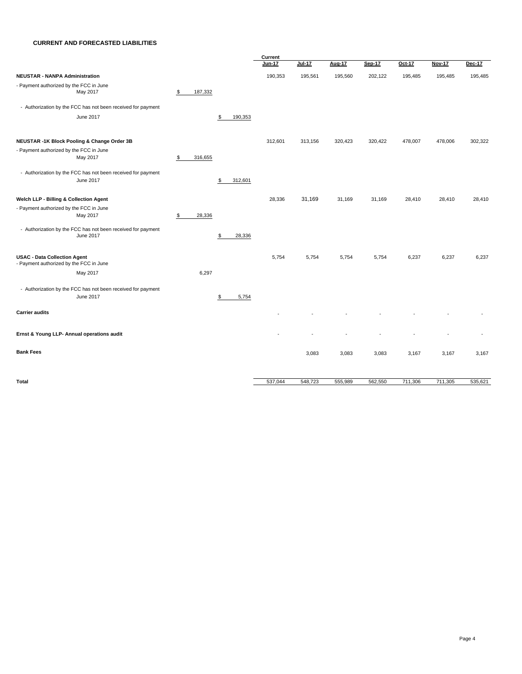### **CURRENT AND FORECASTED LIABILITIES**

|                                                              |               |               | Current       |               |         |               |         |               |         |
|--------------------------------------------------------------|---------------|---------------|---------------|---------------|---------|---------------|---------|---------------|---------|
|                                                              |               |               | <b>Jun-17</b> | <b>Jul-17</b> | Aug-17  | <b>Sep-17</b> | Oct-17  | <b>Nov-17</b> | Dec-17  |
| <b>NEUSTAR - NANPA Administration</b>                        |               |               | 190,353       | 195,561       | 195,560 | 202,122       | 195,485 | 195,485       | 195,485 |
| - Payment authorized by the FCC in June                      |               |               |               |               |         |               |         |               |         |
| May 2017                                                     | 187,332<br>\$ |               |               |               |         |               |         |               |         |
| - Authorization by the FCC has not been received for payment |               |               |               |               |         |               |         |               |         |
| June 2017                                                    |               | 190,353<br>\$ |               |               |         |               |         |               |         |
| NEUSTAR -1K Block Pooling & Change Order 3B                  |               |               | 312,601       | 313,156       | 320,423 | 320,422       | 478,007 | 478,006       | 302,322 |
| - Payment authorized by the FCC in June                      |               |               |               |               |         |               |         |               |         |
| May 2017                                                     | 316,655<br>\$ |               |               |               |         |               |         |               |         |
| - Authorization by the FCC has not been received for payment |               |               |               |               |         |               |         |               |         |
| June 2017                                                    |               | 312,601<br>\$ |               |               |         |               |         |               |         |
| Welch LLP - Billing & Collection Agent                       |               |               | 28,336        | 31,169        | 31,169  | 31,169        | 28,410  | 28,410        | 28,410  |
| - Payment authorized by the FCC in June                      |               |               |               |               |         |               |         |               |         |
| May 2017                                                     | 28,336<br>\$  |               |               |               |         |               |         |               |         |
| - Authorization by the FCC has not been received for payment |               |               |               |               |         |               |         |               |         |
| June 2017                                                    |               | 28,336<br>\$  |               |               |         |               |         |               |         |
| <b>USAC - Data Collection Agent</b>                          |               |               | 5,754         | 5,754         | 5,754   | 5,754         | 6,237   | 6,237         | 6,237   |
| - Payment authorized by the FCC in June                      |               |               |               |               |         |               |         |               |         |
| May 2017                                                     | 6,297         |               |               |               |         |               |         |               |         |
| - Authorization by the FCC has not been received for payment |               |               |               |               |         |               |         |               |         |
| June 2017                                                    |               | \$<br>5,754   |               |               |         |               |         |               |         |
| <b>Carrier audits</b>                                        |               |               |               |               |         |               |         |               |         |
| Ernst & Young LLP- Annual operations audit                   |               |               |               |               |         |               |         |               |         |
| <b>Bank Fees</b>                                             |               |               |               | 3,083         | 3,083   | 3,083         | 3,167   | 3,167         | 3,167   |
|                                                              |               |               |               |               |         |               |         |               |         |
| <b>Total</b>                                                 |               |               | 537,044       | 548,723       | 555,989 | 562,550       | 711,306 | 711,305       | 535,621 |